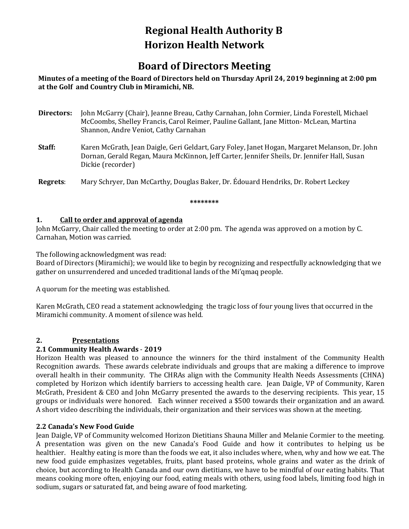### **Regional Health Authority B Horizon Health Network**

### **Board of Directors Meeting**

#### **Minutes of a meeting of the Board of Directors held on Thursday April 24, 2019 beginning at 2:00 pm at the Golf and Country Club in Miramichi, NB.**

- **Directors:** John McGarry (Chair), Jeanne Breau, Cathy Carnahan, John Cormier, Linda Forestell, Michael McCoombs, Shelley Francis, Carol Reimer, Pauline Gallant, Jane Mitton- McLean, Martina Shannon, Andre Veniot, Cathy Carnahan
- **Staff:** Karen McGrath, Jean Daigle, Geri Geldart, Gary Foley, Janet Hogan, Margaret Melanson, Dr. John Dornan, Gerald Regan, Maura McKinnon, Jeff Carter, Jennifer Sheils, Dr. Jennifer Hall, Susan Dickie (recorder)

**Regrets**: Mary Schryer, Dan McCarthy, Douglas Baker, Dr. Édouard Hendriks, Dr. Robert Leckey

#### **\*\*\*\*\*\*\*\***

#### **1. Call to order and approval of agenda**

John McGarry, Chair called the meeting to order at 2:00 pm. The agenda was approved on a motion by C. Carnahan, Motion was carried.

The following acknowledgment was read:

Board of Directors (Miramichi); we would like to begin by recognizing and respectfully acknowledging that we gather on unsurrendered and unceded traditional lands of the Mi'qmaq people.

A quorum for the meeting was established.

Karen McGrath, CEO read a statement acknowledging the tragic loss of four young lives that occurred in the Miramichi community. A moment of silence was held.

#### **2. Presentations**

#### **2.1 Community Health Awards** - **2019**

Horizon Health was pleased to announce the winners for the third instalment of the Community Health Recognition awards. These awards celebrate individuals and groups that are making a difference to improve overall health in their community. The CHRAs align with the Community Health Needs Assessments (CHNA) completed by Horizon which identify barriers to accessing health care. Jean Daigle, VP of Community, Karen McGrath, President & CEO and John McGarry presented the awards to the deserving recipients. This year, 15 groups or individuals were honored. Each winner received a \$500 towards their organization and an award. A short video describing the individuals, their organization and their services was shown at the meeting.

#### **2.2 Canada's New Food Guide**

Jean Daigle, VP of Community welcomed Horizon Dietitians Shauna Miller and Melanie Cormier to the meeting. A presentation was given on the new Canada's Food Guide and how it contributes to helping us be healthier. Healthy eating is more than the foods we eat, it also includes where, when, why and how we eat. The new food guide emphasizes vegetables, fruits, plant based proteins, whole grains and water as the drink of choice, but according to Health Canada and our own dietitians, we have to be mindful of our eating habits. That means cooking more often, enjoying our food, eating meals with others, using food labels, limiting food high in sodium, sugars or saturated fat, and being aware of food marketing.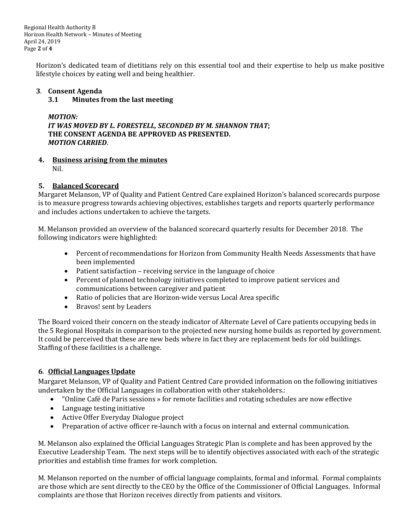Regional Health Authority B Horizon Health Network – Minutes of Meeting April 24, 2019 Page **2** of **4**

Horizon's dedicated team of dietitians rely on this essential tool and their expertise to help us make positive lifestyle choices by eating well and being healthier.

# **3**. **Consent Agenda**

#### **3.1 Minutes from the last meeting**

*MOTION: IT WAS MOVED BY L. FORESTELL, SECONDED BY M. SHANNON THAT***; THE CONSENT AGENDA BE APPROVED AS PRESENTED.** *MOTION CARRIED*.

**4. Business arising from the minutes** Nil.

#### **5. Balanced Scorecard**

Margaret Melanson, VP of Quality and Patient Centred Care explained Horizon's balanced scorecards purpose is to measure progress towards achieving objectives, establishes targets and reports quarterly performance and includes actions undertaken to achieve the targets.

M. Melanson provided an overview of the balanced scorecard quarterly results for December 2018. The following indicators were highlighted:

- Percent of recommendations for Horizon from Community Health Needs Assessments that have been implemented
- Patient satisfaction receiving service in the language of choice
- Percent of planned technology initiatives completed to improve patient services and communications between caregiver and patient
- Ratio of policies that are Horizon-wide versus Local Area specific
- Bravos! sent by Leaders

The Board voiced their concern on the steady indicator of Alternate Level of Care patients occupying beds in the 5 Regional Hospitals in comparison to the projected new nursing home builds as reported by government. It could be perceived that these are new beds where in fact they are replacement beds for old buildings. Staffing of these facilities is a challenge.

#### **6**. **Official Languages Update**

Margaret Melanson, VP of Quality and Patient Centred Care provided information on the following initiatives undertaken by the Official Languages in collaboration with other stakeholders.:

- "Online Café de Paris sessions » for remote facilities and rotating schedules are now effective
- Language testing initiative
- Active Offer Everyday Dialogue project
- Preparation of active officer re-launch with a focus on internal and external communication.

M. Melanson also explained the Official Languages Strategic Plan is complete and has been approved by the Executive Leadership Team. The next steps will be to identify objectives associated with each of the strategic priorities and establish time frames for work completion.

M. Melanson reported on the number of official language complaints, formal and informal. Formal complaints are those which are sent directly to the CEO by the Office of the Commissioner of Official Languages. Informal complaints are those that Horizon receives directly from patients and visitors.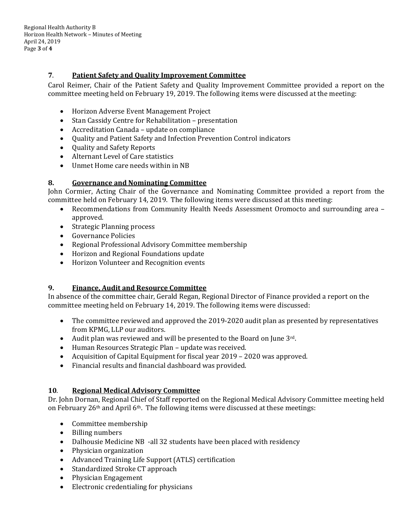Regional Health Authority B Horizon Health Network – Minutes of Meeting April 24, 2019 Page **3** of **4**

#### **7**. **Patient Safety and Quality Improvement Committee**

Carol Reimer, Chair of the Patient Safety and Quality Improvement Committee provided a report on the committee meeting held on February 19, 2019. The following items were discussed at the meeting:

- Horizon Adverse Event Management Project
- Stan Cassidy Centre for Rehabilitation presentation
- Accreditation Canada update on compliance
- Quality and Patient Safety and Infection Prevention Control indicators
- Quality and Safety Reports
- Alternant Level of Care statistics
- Unmet Home care needs within in NB

#### **8. Governance and Nominating Committee**

John Cormier, Acting Chair of the Governance and Nominating Committee provided a report from the committee held on February 14, 2019. The following items were discussed at this meeting:

- Recommendations from Community Health Needs Assessment Oromocto and surrounding area approved.
- Strategic Planning process
- Governance Policies
- Regional Professional Advisory Committee membership
- Horizon and Regional Foundations update
- Horizon Volunteer and Recognition events

#### **9. Finance, Audit and Resource Committee**

In absence of the committee chair, Gerald Regan, Regional Director of Finance provided a report on the committee meeting held on February 14, 2019. The following items were discussed:

- The committee reviewed and approved the 2019-2020 audit plan as presented by representatives from KPMG, LLP our auditors.
- Audit plan was reviewed and will be presented to the Board on June 3rd.
- Human Resources Strategic Plan update was received.
- Acquisition of Capital Equipment for fiscal year 2019 2020 was approved.
- Financial results and financial dashboard was provided.

#### **10**. **Regional Medical Advisory Committee**

Dr. John Dornan, Regional Chief of Staff reported on the Regional Medical Advisory Committee meeting held on February 26th and April 6th. The following items were discussed at these meetings:

- Committee membership
- Billing numbers
- Dalhousie Medicine NB -all 32 students have been placed with residency
- Physician organization
- Advanced Training Life Support (ATLS) certification
- Standardized Stroke CT approach
- Physician Engagement
- Electronic credentialing for physicians